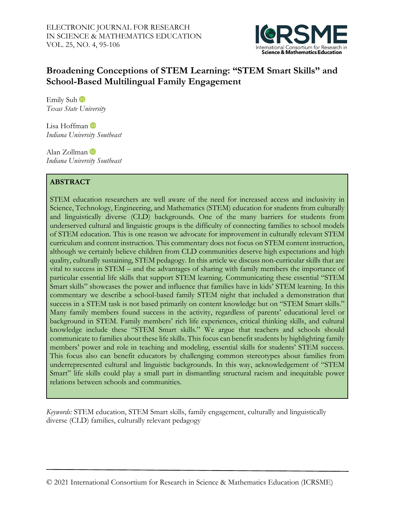

# **Broadening Conceptions of STEM Learning: "STEM Smart Skills" and School-Based Multilingual Family Engagement**

EmilySuh<sup>t</sup> *Texas State University* 

LisaHoffman *Indiana University Southeast*

Alan Zollman *Indiana University Southeast*

# **ABSTRACT**

STEM education researchers are well aware of the need for increased access and inclusivity in Science, Technology, Engineering, and Mathematics (STEM) education for students from culturally and linguistically diverse (CLD) backgrounds. One of the many barriers for students from underserved cultural and linguistic groups is the difficulty of connecting families to school models of STEM education. This is one reason we advocate for improvement in culturally relevant STEM curriculum and content instruction. This commentary does not focus on STEM content instruction, although we certainly believe children from CLD communities deserve high expectations and high quality, culturally sustaining, STEM pedagogy. In this article we discuss non-curricular skills that are vital to success in STEM – and the advantages of sharing with family members the importance of particular essential life skills that support STEM learning. Communicating these essential "STEM Smart skills" showcases the power and influence that families have in kids' STEM learning. In this commentary we describe a school-based family STEM night that included a demonstration that success in a STEM task is not based primarily on content knowledge but on "STEM Smart skills." Many family members found success in the activity, regardless of parents' educational level or background in STEM. Family members' rich life experiences, critical thinking skills, and cultural knowledge include these "STEM Smart skills." We argue that teachers and schools should communicate to families about these life skills. This focus can benefit students by highlighting family members' power and role in teaching and modeling, essential skills for students' STEM success. This focus also can benefit educators by challenging common stereotypes about families from underrepresented cultural and linguistic backgrounds. In this way, acknowledgement of "STEM Smart" life skills could play a small part in dismantling structural racism and inequitable power relations between schools and communities.

*Keywords:* STEM education, STEM Smart skills, family engagement, culturally and linguistically diverse (CLD) families, culturally relevant pedagogy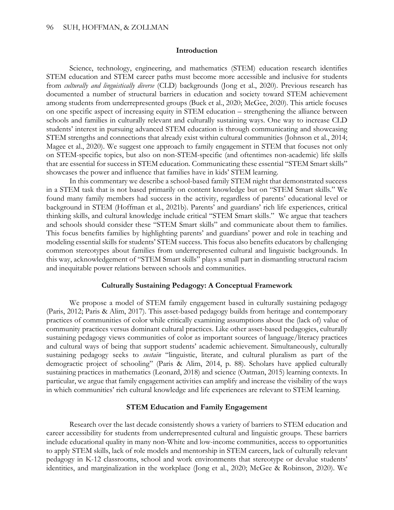#### **Introduction**

Science, technology, engineering, and mathematics (STEM) education research identifies STEM education and STEM career paths must become more accessible and inclusive for students from *culturally and linguistically diverse* (CLD) backgrounds (Jong et al., 2020). Previous research has documented a number of structural barriers in education and society toward STEM achievement among students from underrepresented groups (Buck et al., 2020; McGee, 2020). This article focuses on one specific aspect of increasing equity in STEM education – strengthening the alliance between schools and families in culturally relevant and culturally sustaining ways. One way to increase CLD students' interest in pursuing advanced STEM education is through communicating and showcasing STEM strengths and connections that already exist within cultural communities (Johnson et al., 2014; Magee et al., 2020). We suggest one approach to family engagement in STEM that focuses not only on STEM-specific topics, but also on non-STEM-specific (and oftentimes non-academic) life skills that are essential for success in STEM education. Communicating these essential "STEM Smart skills" showcases the power and influence that families have in kids' STEM learning.

In this commentary we describe a school-based family STEM night that demonstrated success in a STEM task that is not based primarily on content knowledge but on "STEM Smart skills." We found many family members had success in the activity, regardless of parents' educational level or background in STEM (Hoffman et al., 2021b). Parents' and guardians' rich life experiences, critical thinking skills, and cultural knowledge include critical "STEM Smart skills." We argue that teachers and schools should consider these "STEM Smart skills" and communicate about them to families. This focus benefits families by highlighting parents' and guardians' power and role in teaching and modeling essential skills for students' STEM success. This focus also benefits educators by challenging common stereotypes about families from underrepresented cultural and linguistic backgrounds. In this way, acknowledgement of "STEM Smart skills" plays a small part in dismantling structural racism and inequitable power relations between schools and communities.

#### **Culturally Sustaining Pedagogy: A Conceptual Framework**

We propose a model of STEM family engagement based in culturally sustaining pedagogy (Paris, 2012; Paris & Alim, 2017). This asset-based pedagogy builds from heritage and contemporary practices of communities of color while critically examining assumptions about the (lack of) value of community practices versus dominant cultural practices. Like other asset-based pedagogies, culturally sustaining pedagogy views communities of color as important sources of language/literacy practices and cultural ways of being that support students' academic achievement. Simultaneously, culturally sustaining pedagogy seeks to *sustain* "linguistic, literate, and cultural pluralism as part of the demogractic project of schooling" (Paris & Alim, 2014, p. 88). Scholars have applied culturally sustaining practices in mathematics (Leonard, 2018) and science (Oatman, 2015) learning contexts. In particular, we argue that family engagement activities can amplify and increase the visibility of the ways in which communities' rich cultural knowledge and life experiences are relevant to STEM learning.

### **STEM Education and Family Engagement**

Research over the last decade consistently shows a variety of barriers to STEM education and career accessibility for students from underrepresented cultural and linguistic groups. These barriers include educational quality in many non-White and low-income communities, access to opportunities to apply STEM skills, lack of role models and mentorship in STEM careers, lack of culturally relevant pedagogy in K-12 classrooms, school and work environments that stereotype or devalue students' identities, and marginalization in the workplace (Jong et al., 2020; McGee & Robinson, 2020). We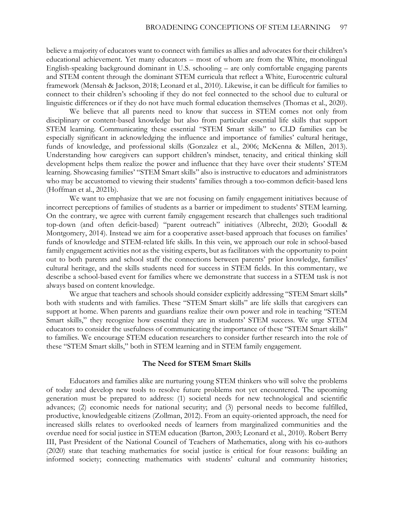believe a majority of educators want to connect with families as allies and advocates for their children's educational achievement. Yet many educators – most of whom are from the White, monolingual English-speaking background dominant in U.S. schooling – are only comfortable engaging parents and STEM content through the dominant STEM curricula that reflect a White, Eurocentric cultural framework (Mensah & Jackson, 2018; Leonard et al., 2010). Likewise, it can be difficult for families to connect to their children's schooling if they do not feel connected to the school due to cultural or linguistic differences or if they do not have much formal education themselves (Thomas et al., 2020).

We believe that all parents need to know that success in STEM comes not only from disciplinary or content-based knowledge but also from particular essential life skills that support STEM learning. Communicating these essential "STEM Smart skills" to CLD families can be especially significant in acknowledging the influence and importance of families' cultural heritage, funds of knowledge, and professional skills (Gonzalez et al., 2006; McKenna & Millen, 2013). Understanding how caregivers can support children's mindset, tenacity, and critical thinking skill development helps them realize the power and influence that they have over their students' STEM learning. Showcasing families' "STEM Smart skills" also is instructive to educators and administrators who may be accustomed to viewing their students' families through a too-common deficit-based lens (Hoffman et al., 2021b).

We want to emphasize that we are not focusing on family engagement initiatives because of incorrect perceptions of families of students as a barrier or impediment to students' STEM learning. On the contrary, we agree with current family engagement research that challenges such traditional top-down (and often deficit-based) "parent outreach" initiatives (Albrecht, 2020; Goodall & Montgomery, 2014). Instead we aim for a cooperative asset-based approach that focuses on families' funds of knowledge and STEM-related life skills. In this vein, we approach our role in school-based family engagement activities not as the visiting experts, but as facilitators with the opportunity to point out to both parents and school staff the connections between parents' prior knowledge, families' cultural heritage, and the skills students need for success in STEM fields. In this commentary, we describe a school-based event for families where we demonstrate that success in a STEM task is not always based on content knowledge.

We argue that teachers and schools should consider explicitly addressing "STEM Smart skills" both with students and with families. These "STEM Smart skills" are life skills that caregivers can support at home. When parents and guardians realize their own power and role in teaching "STEM Smart skills," they recognize how essential they are in students' STEM success. We urge STEM educators to consider the usefulness of communicating the importance of these "STEM Smart skills" to families. We encourage STEM education researchers to consider further research into the role of these "STEM Smart skills," both in STEM learning and in STEM family engagement.

#### **The Need for STEM Smart Skills**

Educators and families alike are nurturing young STEM thinkers who will solve the problems of today and develop new tools to resolve future problems not yet encountered. The upcoming generation must be prepared to address: (1) societal needs for new technological and scientific advances; (2) economic needs for national security; and (3) personal needs to become fulfilled, productive, knowledgeable citizens (Zollman, 2012). From an equity-oriented approach, the need for increased skills relates to overlooked needs of learners from marginalized communities and the overdue need for social justice in STEM education (Barton, 2003; Leonard et al., 2010). Robert Berry III, Past President of the National Council of Teachers of Mathematics, along with his co-authors (2020) state that teaching mathematics for social justice is critical for four reasons: building an informed society; connecting mathematics with students' cultural and community histories;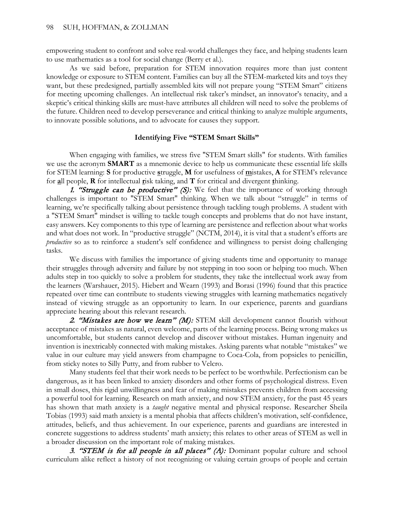empowering student to confront and solve real-world challenges they face, and helping students learn to use mathematics as a tool for social change (Berry et al.).

As we said before, preparation for STEM innovation requires more than just content knowledge or exposure to STEM content. Families can buy all the STEM-marketed kits and toys they want, but these predesigned, partially assembled kits will not prepare young "STEM Smart" citizens for meeting upcoming challenges. An intellectual risk taker's mindset, an innovator's tenacity, and a skeptic's critical thinking skills are must-have attributes all children will need to solve the problems of the future. Children need to develop perseverance and critical thinking to analyze multiple arguments, to innovate possible solutions, and to advocate for causes they support.

### **Identifying Five "STEM Smart Skills"**

When engaging with families, we stress five "STEM Smart skills" for students. With families we use the acronym **SMART** as a mnemonic device to help us communicate these essential life skills for STEM learning: **S** for productive **s**truggle, **M** for usefulness of **m**istakes, **A** for STEM's relevance for **a**ll people, **R** for intellectual **r**isk taking, and **T** for critical and divergent **t**hinking.

1. "Struggle can be productive"  $(S)$ : We feel that the importance of working through challenges is important to "STEM Smart" thinking. When we talk about "struggle" in terms of learning, we're specifically talking about persistence through tackling tough problems. A student with a "STEM Smart" mindset is willing to tackle tough concepts and problems that do not have instant, easy answers. Key components to this type of learning are persistence and reflection about what works and what does not work. In "productive struggle" (NCTM, 2014), it is vital that a student's efforts are *productive* so as to reinforce a student's self confidence and willingness to persist doing challenging tasks.

We discuss with families the importance of giving students time and opportunity to manage their struggles through adversity and failure by not stepping in too soon or helping too much. When adults step in too quickly to solve a problem for students, they take the intellectual work away from the learners (Warshauer, 2015). Hiebert and Wearn (1993) and Borasi (1996) found that this practice repeated over time can contribute to students viewing struggles with learning mathematics negatively instead of viewing struggle as an opportunity to learn. In our experience, parents and guardians appreciate hearing about this relevant research.

2. "Mistakes are how we learn" (M): STEM skill development cannot flourish without acceptance of mistakes as natural, even welcome, parts of the learning process. Being wrong makes us uncomfortable, but students cannot develop and discover without mistakes. Human ingenuity and invention is inextricably connected with making mistakes. Asking parents what notable "mistakes" we value in our culture may yield answers from champagne to Coca-Cola, from popsicles to penicillin, from sticky notes to Silly Putty, and from rubber to Velcro.

Many students feel that their work needs to be perfect to be worthwhile. Perfectionism can be dangerous, as it has been linked to anxiety disorders and other forms of psychological distress. Even in small doses, this rigid unwillingness and fear of making mistakes prevents children from accessing a powerful tool for learning. Research on math anxiety, and now STEM anxiety, for the past 45 years has shown that math anxiety is a *taught* negative mental and physical response. Researcher Sheila Tobias (1993) said math anxiety is a mental phobia that affects children's motivation, self-confidence, attitudes, beliefs, and thus achievement. In our experience, parents and guardians are interested in concrete suggestions to address students' math anxiety; this relates to other areas of STEM as well in a broader discussion on the important role of making mistakes.

3. "STEM is for all people in all places" (A): Dominant popular culture and school curriculum alike reflect a history of not recognizing or valuing certain groups of people and certain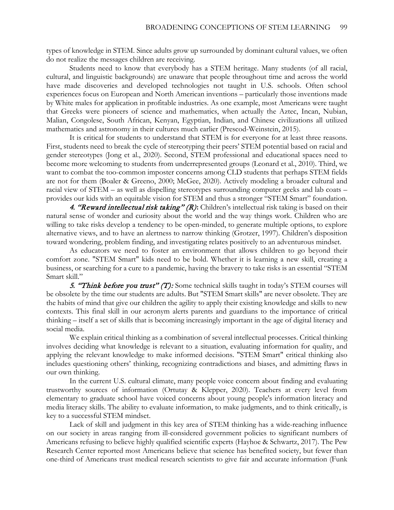types of knowledge in STEM. Since adults grow up surrounded by dominant cultural values, we often do not realize the messages children are receiving.

Students need to know that everybody has a STEM heritage. Many students (of all racial, cultural, and linguistic backgrounds) are unaware that people throughout time and across the world have made discoveries and developed technologies not taught in U.S. schools. Often school experiences focus on European and North American inventions – particularly those inventions made by White males for application in profitable industries. As one example, most Americans were taught that Greeks were pioneers of science and mathematics, when actually the Aztec, Incan, Nubian, Malian, Congolese, South African, Kenyan, Egyptian, Indian, and Chinese civilizations all utilized mathematics and astronomy in their cultures much earlier (Prescod-Weinstein, 2015).

It is critical for students to understand that STEM is for everyone for at least three reasons. First, students need to break the cycle of stereotyping their peers' STEM potential based on racial and gender stereotypes (Jong et al., 2020). Second, STEM professional and educational spaces need to become more welcoming to students from underrepresented groups (Leonard et al., 2010). Third, we want to combat the too-common imposter concerns among CLD students that perhaps STEM fields are not for them (Boaler & Greeno, 2000; McGee, 2020). Actively modeling a broader cultural and racial view of STEM – as well as dispelling stereotypes surrounding computer geeks and lab coats – provides our kids with an equitable vision for STEM and thus a stronger "STEM Smart" foundation.

4. "Reward intellectual risk taking" (R): Children's intellectual risk taking is based on their natural sense of wonder and curiosity about the world and the way things work. Children who are willing to take risks develop a tendency to be open-minded, to generate multiple options, to explore alternative views, and to have an alertness to narrow thinking (Grotzer, 1997). Children's disposition toward wondering, problem finding, and investigating relates positively to an adventurous mindset.

As educators we need to foster an environment that allows children to go beyond their comfort zone. "STEM Smart" kids need to be bold. Whether it is learning a new skill, creating a business, or searching for a cure to a pandemic, having the bravery to take risks is an essential "STEM Smart skill."

5. "Think before you trust" (T): Some technical skills taught in today's STEM courses will be obsolete by the time our students are adults. But "STEM Smart skills" are never obsolete. They are the habits of mind that give our children the agility to apply their existing knowledge and skills to new contexts. This final skill in our acronym alerts parents and guardians to the importance of critical thinking – itself a set of skills that is becoming increasingly important in the age of digital literacy and social media.

We explain critical thinking as a combination of several intellectual processes. Critical thinking involves deciding what knowledge is relevant to a situation, evaluating information for quality, and applying the relevant knowledge to make informed decisions. "STEM Smart" critical thinking also includes questioning others' thinking, recognizing contradictions and biases, and admitting flaws in our own thinking.

In the current U.S. cultural climate, many people voice concern about finding and evaluating trustworthy sources of information (Ortutay & Klepper, 2020). Teachers at every level from elementary to graduate school have voiced concerns about young people's information literacy and media literacy skills. The ability to evaluate information, to make judgments, and to think critically, is key to a successful STEM mindset.

Lack of skill and judgment in this key area of STEM thinking has a wide-reaching influence on our society in areas ranging from ill-considered government policies to significant numbers of Americans refusing to believe highly qualified scientific experts (Hayhoe & Schwartz, 2017). The Pew Research Center reported most Americans believe that science has benefited society, but fewer than one-third of Americans trust medical research scientists to give fair and accurate information (Funk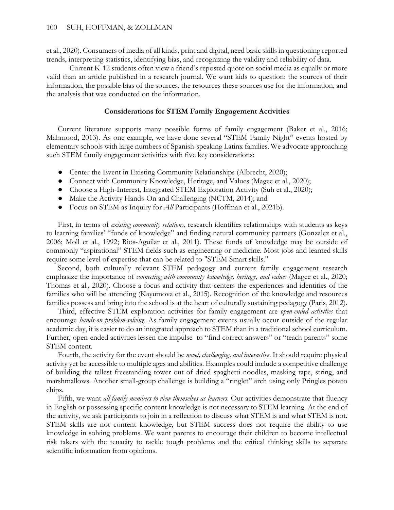et al., 2020). Consumers of media of all kinds, print and digital, need basic skills in questioning reported trends, interpreting statistics, identifying bias, and recognizing the validity and reliability of data.

Current K-12 students often view a friend's reposted quote on social media as equally or more valid than an article published in a research journal. We want kids to question: the sources of their information, the possible bias of the sources, the resources these sources use for the information, and the analysis that was conducted on the information.

### **Considerations for STEM Family Engagement Activities**

Current literature supports many possible forms of family engagement (Baker et al., 2016; Mahmood, 2013). As one example, we have done several "STEM Family Night" events hosted by elementary schools with large numbers of Spanish-speaking Latinx families. We advocate approaching such STEM family engagement activities with five key considerations:

- Center the Event in Existing Community Relationships (Albrecht, 2020);
- Connect with Community Knowledge, Heritage, and Values (Magee et al., 2020);
- Choose a High-Interest, Integrated STEM Exploration Activity (Suh et al., 2020);
- Make the Activity Hands-On and Challenging (NCTM, 2014); and
- Focus on STEM as Inquiry for *All* Participants (Hoffman et al., 2021b).

First, in terms of *existing community relations*, research identifies relationships with students as keys to learning families' "funds of knowledge" and finding natural community partners (Gonzalez et al., 2006; Moll et al., 1992; Rios-Aguilar et al., 2011). These funds of knowledge may be outside of commonly "aspirational" STEM fields such as engineering or medicine. Most jobs and learned skills require some level of expertise that can be related to "STEM Smart skills."

Second, both culturally relevant STEM pedagogy and current family engagement research emphasize the importance of *connecting with community knowledge, heritage, and values* (Magee et al., 2020; Thomas et al., 2020). Choose a focus and activity that centers the experiences and identities of the families who will be attending (Kayumova et al., 2015). Recognition of the knowledge and resources families possess and bring into the school is at the heart of culturally sustaining pedagogy (Paris, 2012).

Third, effective STEM exploration activities for family engagement are *open-ended activities* that encourage *hands-on problem-solving*. As family engagement events usually occur outside of the regular academic day, it is easier to do an integrated approach to STEM than in a traditional school curriculum. Further, open-ended activities lessen the impulse to "find correct answers" or "teach parents" some STEM content.

Fourth, the activity for the event should be *novel, challenging, and interactive*. It should require physical activity yet be accessible to multiple ages and abilities. Examples could include a competitive challenge of building the tallest freestanding tower out of dried spaghetti noodles, masking tape, string, and marshmallows. Another small-group challenge is building a "ringlet" arch using only Pringles potato chips.

Fifth, we want *all family members to view themselves as learners*. Our activities demonstrate that fluency in English or possessing specific content knowledge is not necessary to STEM learning. At the end of the activity, we ask participants to join in a reflection to discuss what STEM is and what STEM is not. STEM skills are not content knowledge, but STEM success does not require the ability to use knowledge in solving problems. We want parents to encourage their children to become intellectual risk takers with the tenacity to tackle tough problems and the critical thinking skills to separate scientific information from opinions.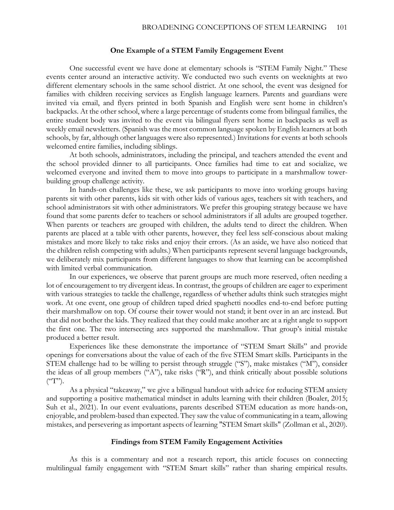#### **One Example of a STEM Family Engagement Event**

One successful event we have done at elementary schools is "STEM Family Night." These events center around an interactive activity. We conducted two such events on weeknights at two different elementary schools in the same school district. At one school, the event was designed for families with children receiving services as English language learners. Parents and guardians were invited via email, and flyers printed in both Spanish and English were sent home in children's backpacks. At the other school, where a large percentage of students come from bilingual families, the entire student body was invited to the event via bilingual flyers sent home in backpacks as well as weekly email newsletters. (Spanish was the most common language spoken by English learners at both schools, by far, although other languages were also represented.) Invitations for events at both schools welcomed entire families, including siblings.

At both schools, administrators, including the principal, and teachers attended the event and the school provided dinner to all participants. Once families had time to eat and socialize, we welcomed everyone and invited them to move into groups to participate in a marshmallow towerbuilding group challenge activity.

In hands-on challenges like these, we ask participants to move into working groups having parents sit with other parents, kids sit with other kids of various ages, teachers sit with teachers, and school administrators sit with other administrators. We prefer this grouping strategy because we have found that some parents defer to teachers or school administrators if all adults are grouped together. When parents or teachers are grouped with children, the adults tend to direct the children. When parents are placed at a table with other parents, however, they feel less self-conscious about making mistakes and more likely to take risks and enjoy their errors. (As an aside, we have also noticed that the children relish competing with adults.) When participants represent several language backgrounds, we deliberately mix participants from different languages to show that learning can be accomplished with limited verbal communication.

In our experiences, we observe that parent groups are much more reserved, often needing a lot of encouragement to try divergent ideas. In contrast, the groups of children are eager to experiment with various strategies to tackle the challenge, regardless of whether adults think such strategies might work. At one event, one group of children taped dried spaghetti noodles end-to-end before putting their marshmallow on top. Of course their tower would not stand; it bent over in an arc instead. But that did not bother the kids. They realized that they could make another arc at a right angle to support the first one. The two intersecting arcs supported the marshmallow. That group's initial mistake produced a better result.

Experiences like these demonstrate the importance of "STEM Smart Skills" and provide openings for conversations about the value of each of the five STEM Smart skills. Participants in the STEM challenge had to be willing to persist through struggle ("S"), make mistakes ("M"), consider the ideas of all group members ("A"), take risks ("R"), and think critically about possible solutions  $({}^{\mathfrak{c}\mathfrak{c}}T"$ ).

As a physical "takeaway," we give a bilingual handout with advice for reducing STEM anxiety and supporting a positive mathematical mindset in adults learning with their children (Boaler, 2015; Suh et al., 2021). In our event evaluations, parents described STEM education as more hands-on, enjoyable, and problem-based than expected. They saw the value of communicating in a team, allowing mistakes, and persevering as important aspects of learning "STEM Smart skills" (Zollman et al., 2020).

#### **Findings from STEM Family Engagement Activities**

As this is a commentary and not a research report, this article focuses on connecting multilingual family engagement with "STEM Smart skills" rather than sharing empirical results.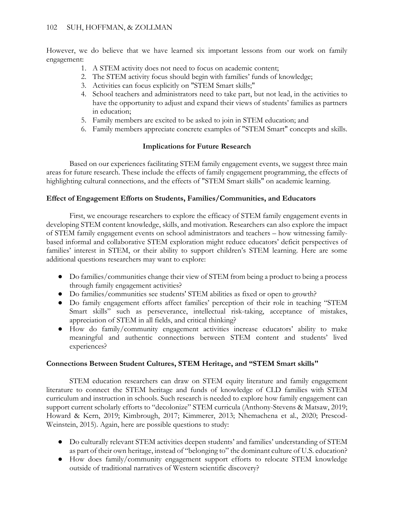However, we do believe that we have learned six important lessons from our work on family engagement:

- 1. A STEM activity does not need to focus on academic content;
- 2. The STEM activity focus should begin with families' funds of knowledge;
- 3. Activities can focus explicitly on "STEM Smart skills;"
- 4. School teachers and administrators need to take part, but not lead, in the activities to have the opportunity to adjust and expand their views of students' families as partners in education;
- 5. Family members are excited to be asked to join in STEM education; and
- 6. Family members appreciate concrete examples of "STEM Smart" concepts and skills.

# **Implications for Future Research**

Based on our experiences facilitating STEM family engagement events, we suggest three main areas for future research. These include the effects of family engagement programming, the effects of highlighting cultural connections, and the effects of "STEM Smart skills" on academic learning.

# **Effect of Engagement Efforts on Students, Families/Communities, and Educators**

First, we encourage researchers to explore the efficacy of STEM family engagement events in developing STEM content knowledge, skills, and motivation. Researchers can also explore the impact of STEM family engagement events on school administrators and teachers – how witnessing familybased informal and collaborative STEM exploration might reduce educators' deficit perspectives of families' interest in STEM, or their ability to support children's STEM learning. Here are some additional questions researchers may want to explore:

- Do families/communities change their view of STEM from being a product to being a process through family engagement activities?
- Do families/communities see students' STEM abilities as fixed or open to growth?
- Do family engagement efforts affect families' perception of their role in teaching "STEM Smart skills" such as perseverance, intellectual risk-taking, acceptance of mistakes, appreciation of STEM in all fields, and critical thinking?
- How do family/community engagement activities increase educators' ability to make meaningful and authentic connections between STEM content and students' lived experiences?

## **Connections Between Student Cultures, STEM Heritage, and "STEM Smart skills"**

STEM education researchers can draw on STEM equity literature and family engagement literature to connect the STEM heritage and funds of knowledge of CLD families with STEM curriculum and instruction in schools. Such research is needed to explore how family engagement can support current scholarly efforts to "decolonize" STEM curricula (Anthony-Stevens & Matsaw, 2019; Howard & Kern, 2019; Kimbrough, 2017; Kimmerer, 2013; Nhemachena et al., 2020; Prescod-Weinstein, 2015). Again, here are possible questions to study:

- Do culturally relevant STEM activities deepen students' and families' understanding of STEM as part of their own heritage, instead of "belonging to" the dominant culture of U.S. education?
- How does family/community engagement support efforts to relocate STEM knowledge outside of traditional narratives of Western scientific discovery?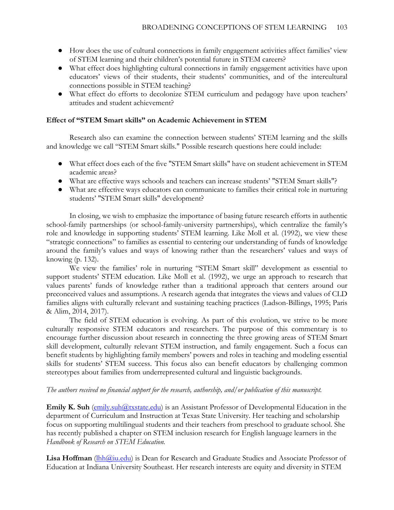- How does the use of cultural connections in family engagement activities affect families' view of STEM learning and their children's potential future in STEM careers?
- What effect does highlighting cultural connections in family engagement activities have upon educators' views of their students, their students' communities, and of the intercultural connections possible in STEM teaching?
- What effect do efforts to decolonize STEM curriculum and pedagogy have upon teachers' attitudes and student achievement?

### **Effect of "STEM Smart skills" on Academic Achievement in STEM**

Research also can examine the connection between students' STEM learning and the skills and knowledge we call "STEM Smart skills." Possible research questions here could include:

- What effect does each of the five "STEM Smart skills" have on student achievement in STEM academic areas?
- What are effective ways schools and teachers can increase students' "STEM Smart skills"?
- What are effective ways educators can communicate to families their critical role in nurturing students' "STEM Smart skills" development?

In closing, we wish to emphasize the importance of basing future research efforts in authentic school-family partnerships (or school-family-university partnerships), which centralize the family's role and knowledge in supporting students' STEM learning. Like Moll et al. (1992), we view these "strategic connections" to families as essential to centering our understanding of funds of knowledge around the family's values and ways of knowing rather than the researchers' values and ways of knowing (p. 132).

We view the families' role in nurturing "STEM Smart skill" development as essential to support students' STEM education. Like Moll et al. (1992), we urge an approach to research that values parents' funds of knowledge rather than a traditional approach that centers around our preconceived values and assumptions. A research agenda that integrates the views and values of CLD families aligns with culturally relevant and sustaining teaching practices (Ladson-Billings, 1995; Paris & Alim, 2014, 2017).

The field of STEM education is evolving. As part of this evolution, we strive to be more culturally responsive STEM educators and researchers. The purpose of this commentary is to encourage further discussion about research in connecting the three growing areas of STEM Smart skill development, culturally relevant STEM instruction, and family engagement. Such a focus can benefit students by highlighting family members' powers and roles in teaching and modeling essential skills for students' STEM success. This focus also can benefit educators by challenging common stereotypes about families from underrepresented cultural and linguistic backgrounds.

### *The authors received no financial support for the research, authorship, and/or publication of this manuscript.*

**Emily K. Suh** (emily.suh  $@$ txstate.edu) is an Assistant Professor of Developmental Education in the department of Curriculum and Instruction at Texas State University. Her teaching and scholarship focus on supporting multilingual students and their teachers from preschool to graduate school. She has recently published a chapter on STEM inclusion research for English language learners in the *Handbook of Research on STEM Education.* 

**Lisa Hoffman** (*lhh@iu.edu*) is Dean for Research and Graduate Studies and Associate Professor of Education at Indiana University Southeast. Her research interests are equity and diversity in STEM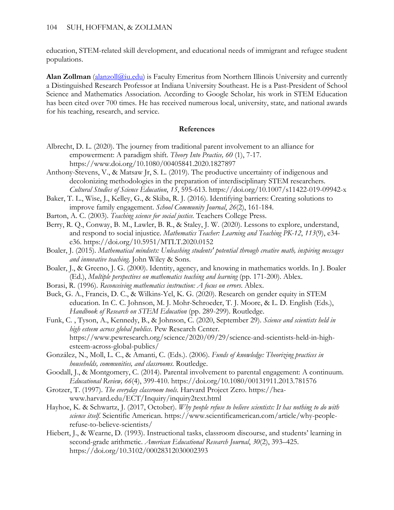education, STEM-related skill development, and educational needs of immigrant and refugee student populations.

**Alan Zollman** [\(alanzoll@iu.edu\)](mailto:alanzoll@iu.edu) is Faculty Emeritus from Northern Illinois University and currently a Distinguished Research Professor at Indiana University Southeast. He is a Past-President of School Science and Mathematics Association. According to Google Scholar, his work in STEM Education has been cited over 700 times. He has received numerous local, university, state, and national awards for his teaching, research, and service.

### **References**

- Albrecht, D. L. (2020). The journey from traditional parent involvement to an alliance for empowerment: A paradigm shift. *Theory Into Practice, 60* (1), 7-17. https://www.doi.org/10.1080/00405841.2020.1827897
- Anthony-Stevens, V., & Matsaw Jr, S. L. (2019). The productive uncertainty of indigenous and decolonizing methodologies in the preparation of interdisciplinary STEM researchers. *Cultural Studies of Science Education*, *15*, 595-613. https://doi.org/10.1007/s11422-019-09942-x
- Baker, T. L., Wise, J., Kelley, G., & Skiba, R. J. (2016). Identifying barriers: Creating solutions to improve family engagement. *School Community Journal*, *26*(2), 161-184.
- Barton, A. C. (2003). *Teaching science for social justice.* Teachers College Press.
- Berry, R. Q., Conway, B. M., Lawler, B. R., & Staley, J. W. (2020). Lessons to explore, understand, and respond to social injustice. *Mathematics Teacher: Learning and Teaching PK-12*, *113*(9), e34 e36. https://doi.org/10.5951/MTLT.2020.0152
- Boaler, J. (2015). *Mathematical mindsets: Unleashing students' potential through creative math, inspiring messages and innovative teaching*. John Wiley & Sons.
- Boaler, J., & Greeno, J. G. (2000). Identity, agency, and knowing in mathematics worlds. In J. Boaler (Ed.), *Multiple perspectives on mathematics teaching and learning* (pp. 171-200). Ablex.
- Borasi, R. (1996). *Reconceiving mathematics instruction: A focus on errors*. Ablex.
- Buck, G. A., Francis, D. C., & Wilkins-Yel, K. G. (2020). Research on gender equity in STEM education. In C. C. Johnson, M. J. Mohr-Schroeder, T. J. Moore, & L. D. English (Eds.), *Handbook of Research on STEM Education* (pp. 289-299). Routledge.
- Funk, C. , Tyson, A., Kennedy, B., & Johnson, C. (2020, September 29). *Science and scientists held in high esteem across global publics*. Pew Research Center. https://www.pewresearch.org/science/2020/09/29/science-and-scientists-held-in-highesteem-across-global-publics/
- González, N., Moll, L. C., & Amanti, C. (Eds.). (2006). *Funds of knowledge: Theorizing practices in households, communities, and classrooms*. Routledge.
- Goodall, J., & Montgomery, C. (2014). Parental involvement to parental engagement: A continuum. *Educational Review, 66*(4), 399-410. https://doi.org/10.1080/00131911.2013.781576
- Grotzer, T. (1997). *The everyday classroom tools*. Harvard Project Zero. https://heawww.harvard.edu/ECT/Inquiry/inquiry2text.html
- Hayhoe, K. & Schwartz, J. (2017, October). *Why people refuse to believe scientists: It has nothing to do with science itself*. Scientific American. https://www.scientificamerican.com/article/why-peoplerefuse-to-believe-scientists/
- Hiebert, J., & Wearne, D. (1993). Instructional tasks, classroom discourse, and students' learning in second-grade arithmetic. *American Educational Research Journal*, *30*(2), 393–425. https://doi.org/10.3102/00028312030002393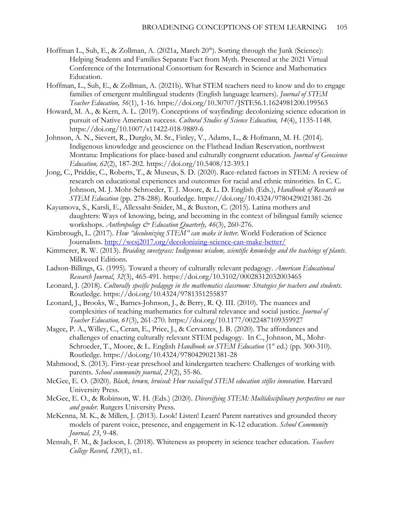- Hoffman L., Suh, E., & Zollman, A. (2021a, March 20<sup>th</sup>). Sorting through the Junk (Science): Helping Students and Families Separate Fact from Myth. Presented at the 2021 Virtual Conference of the International Consortium for Research in Science and Mathematics Education.
- Hoffman, L., Suh, E., & Zollman, A. (2021b). What STEM teachers need to know and do to engage families of emergent multilingual students (English language learners). *Journal of STEM Teacher Education, 56*(1), 1-16*.* https://doi.org/10.30707/JSTE56.1.1624981200.199563
- Howard, M. A., & Kern, A. L. (2019). Conceptions of wayfinding: decolonizing science education in pursuit of Native American success. *Cultural Studies of Science Education, 14*(4), 1135-1148. https://doi.org/10.1007/s11422-018-9889-6
- Johnson, A. N., Sievert, R., Durglo, M. Sr., Finley, V., Adams, L., & Hofmann, M. H. (2014). Indigenous knowledge and geoscience on the Flathead Indian Reservation, northwest Montana: Implications for place-based and culturally congruent education. *Journal of Geoscience Education, 62*(2), 187-202. https://doi.org/10.5408/12-393.1
- Jong, C., Priddie, C., Roberts, T., & Museus, S. D. (2020). Race-related factors in STEM: A review of research on educational experiences and outcomes for racial and ethnic minorities. In C. C. Johnson, M. J. Mohr-Schroeder, T. J. Moore, & L. D. English (Eds.), *Handbook of Research on STEM Education* (pp. 278-288). Routledge. https://doi.org/10.4324/9780429021381-26
- Kayumova, S., Karsli, E., Allexsaht-Snider, M., & Buxton, C. (2015). Latina mothers and daughters: Ways of knowing, being, and becoming in the context of bilingual family science workshops. *Anthropology & Education Quarterly, 46*(3), 260-276.
- Kimbrough, L. (2017). *How "decolonizing STEM" can make it better*. World Federation of Science Journalists.<http://wcsj2017.org/decolonizing-science-can-make-better/>
- Kimmerer, R. W. (2013). *Braiding sweetgrass: Indigenous wisdom, scientific knowledge and the teachings of plants*. Milkweed Editions.
- Ladson-Billings, G. (1995). Toward a theory of culturally relevant pedagogy. *American Educational Research Journal*, *32*(3), 465-491. https://doi.org/10.3102/00028312032003465
- Leonard, J. (2018). *Culturally specific pedagogy in the mathematics classroom: Strategies for teachers and students*. Routledge. https://doi.org/10.4324/9781351255837
- Leonard, J., Brooks, W., Barnes-Johnson, J., & Berry, R. Q. III. (2010). The nuances and complexities of teaching mathematics for cultural relevance and social justice. *Journal of Teacher Education, 61*(3), 261-270. https://doi.org/10.1177/0022487109359927
- Magee, P. A., Willey, C., Ceran, E., Price, J., & Cervantes, J. B. (2020). The affordances and challenges of enacting culturally relevant STEM pedagogy. In C., Johnson, M., Mohr-Schroeder, T., Moore, & L. English *Handbook on STEM Education* (1<sup>st</sup> ed.) (pp. 300-310). Routledge. https://doi.org/10.4324/9780429021381-28
- Mahmood, S. (2013). First-year preschool and kindergarten teachers: Challenges of working with parents. *School community journal*, *23*(2), 55-86.
- McGee, E. O. (2020). *Black, brown, bruised: How racialized STEM education stifles innovation*. Harvard University Press.
- McGee, E. O., & Robinson, W. H. (Eds.) (2020). *Diversifying STEM: Multidisciplinary perspectives on race and gender.* Rutgers University Press.
- McKenna, M. K., & Millen, J. (2013). Look! Listen! Learn! Parent narratives and grounded theory models of parent voice, presence, and engagement in K-12 education. *School Community Journal, 23*, 9-48.
- Mensah, F. M., & Jackson, I. (2018). Whiteness as property in science teacher education. *Teachers College Record, 120*(1), n1.